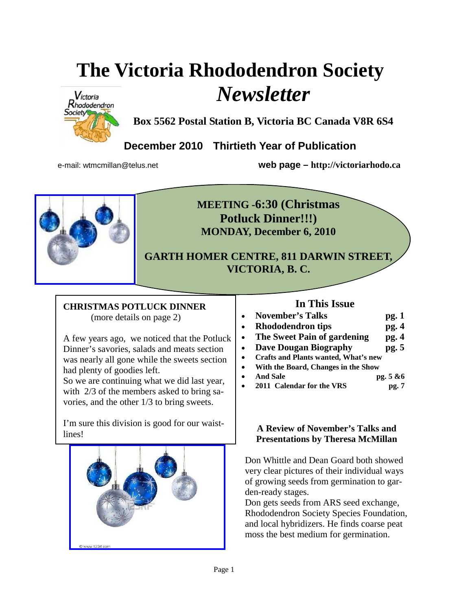# **The Victoria Rhododendron Society**  *Newsletter*



**Box 5562 Postal Station B, Victoria BC Canada V8R 6S4** 

**December 2010 Thirtieth Year of Publication** 

e-mail: wtmcmillan@telus.net **web page – http://victoriarhodo.ca**



**MEETING -6:30 (Christmas Potluck Dinner!!!) MONDAY, December 6, 2010** 

**GARTH HOMER CENTRE, 811 DARWIN STREET, VICTORIA, B. C.** 

## **CHRISTMAS POTLUCK DINNER**

(more details on page 2)

A few years ago, we noticed that the Potluck Dinner's savories, salads and meats section was nearly all gone while the sweets section had plenty of goodies left.

So we are continuing what we did last year, with 2/3 of the members asked to bring savories, and the other 1/3 to bring sweets.

I'm sure this division is good for our waist-I in sure this division is good for our warst-<br>lines!



## **In This Issue**

|           | <b>November's Talks</b>  | pg.1 |
|-----------|--------------------------|------|
| $\bullet$ | <b>Rhododendron tips</b> | pg.4 |

- The Sweet Pain of gardening pg. 4
- **Dave Dougan Biography pg. 5**
- **Crafts and Plants wanted, What's new**
- **With the Board, Changes in the Show**
- **And Sale pg. 5 &6**
- 2011 Calendar for the VRS pg. 7

## **Presentations by Theresa McMillan**

Don Whittle and Dean Goard both showed very clear pictures of their individual ways of growing seeds from germination to garden-ready stages.

Don gets seeds from ARS seed exchange, Rhododendron Society Species Foundation, and local hybridizers. He finds coarse peat moss the best medium for germination.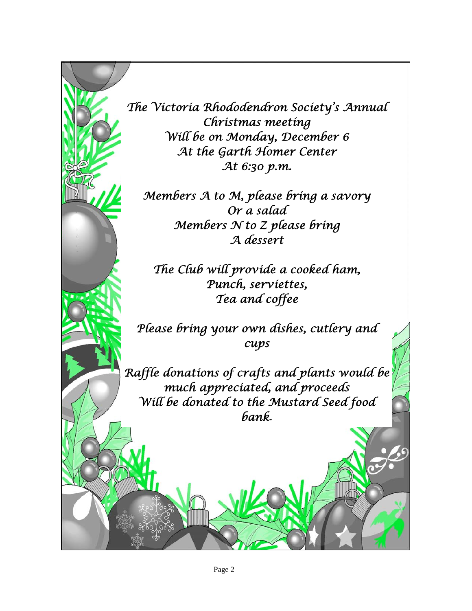

*The Victoria Rhododendron Society's Annual Christmas meeting Will be on Monday, December 6 At the Garth Homer Center At 6:30 p.m.* 

*Members A to M, please bring a savory Or a salad Members N to Z please bring A dessert* 

*The Club will provide a cooked ham, Punch, serviettes, Tea and coffee* 

*Please bring your own dishes, cutlery and cups* 

*Raffle donations of crafts and plants would be much appreciated, and proceeds Will be donated to the Mustard Seed food bank.*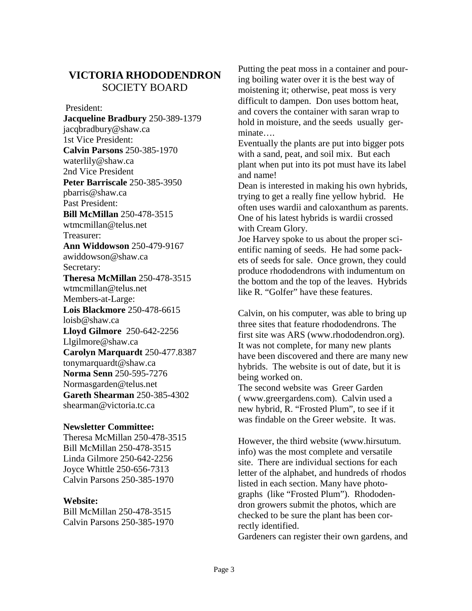## **VICTORIA RHODODENDRON**  SOCIETY BOARD

President:

**Jacqueline Bradbury** 250-389-1379 jacqbradbury@shaw.ca 1st Vice President: **Calvin Parsons** 250-385-1970 waterlily@shaw.ca 2nd Vice President **Peter Barriscale** 250-385-3950 pbarris@shaw.ca Past President: **Bill McMillan** 250-478-3515 wtmcmillan@telus.net Treasurer: **Ann Widdowson** 250-479-9167 awiddowson@shaw.ca Secretary: **Theresa McMillan** 250-478-3515 wtmcmillan@telus.net Members-at-Large: **Lois Blackmore** 250-478-6615 loisb@shaw.ca **Lloyd Gilmore** 250-642-2256 Llgilmore@shaw.ca **Carolyn Marquardt** 250-477.8387 tonymarquardt@shaw.ca **Norma Senn** 250-595-7276 Normasgarden@telus.net **Gareth Shearman** 250-385-4302 shearman@victoria.tc.ca

#### **Newsletter Committee:**

Theresa McMillan 250-478-3515 Bill McMillan 250-478-3515 Linda Gilmore 250-642-2256 Joyce Whittle 250-656-7313 Calvin Parsons 250-385-1970

#### **Website:**

Bill McMillan 250-478-3515 Calvin Parsons 250-385-1970 Putting the peat moss in a container and pouring boiling water over it is the best way of moistening it; otherwise, peat moss is very difficult to dampen. Don uses bottom heat, and covers the container with saran wrap to hold in moisture, and the seeds usually germinate….

Eventually the plants are put into bigger pots with a sand, peat, and soil mix. But each plant when put into its pot must have its label and name!

Dean is interested in making his own hybrids, trying to get a really fine yellow hybrid. He often uses wardii and caloxanthum as parents. One of his latest hybrids is wardii crossed with Cream Glory.

Joe Harvey spoke to us about the proper scientific naming of seeds. He had some packets of seeds for sale. Once grown, they could produce rhododendrons with indumentum on the bottom and the top of the leaves. Hybrids like R. "Golfer" have these features.

Calvin, on his computer, was able to bring up three sites that feature rhododendrons. The first site was ARS (www.rhododendron.org). It was not complete, for many new plants have been discovered and there are many new hybrids. The website is out of date, but it is being worked on.

The second website was Greer Garden ( www.greergardens.com). Calvin used a new hybrid, R. "Frosted Plum", to see if it was findable on the Greer website. It was.

However, the third website (www.hirsutum. info) was the most complete and versatile site. There are individual sections for each letter of the alphabet, and hundreds of rhodos listed in each section. Many have photographs (like "Frosted Plum"). Rhododendron growers submit the photos, which are checked to be sure the plant has been correctly identified.

Gardeners can register their own gardens, and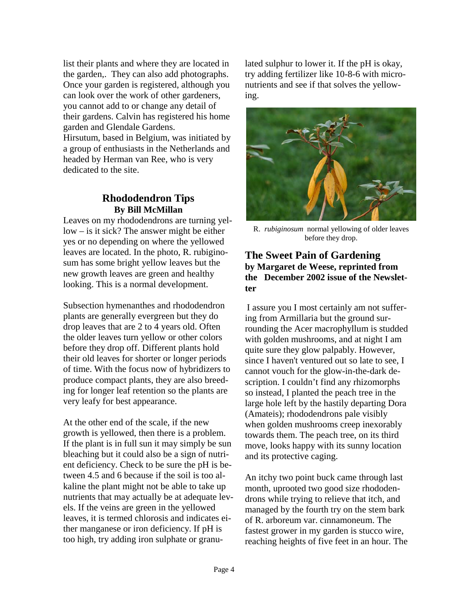list their plants and where they are located in the garden,. They can also add photographs. Once your garden is registered, although you can look over the work of other gardeners, you cannot add to or change any detail of their gardens. Calvin has registered his home garden and Glendale Gardens.

Hirsutum, based in Belgium, was initiated by a group of enthusiasts in the Netherlands and headed by Herman van Ree, who is very dedicated to the site.

#### **Rhododendron Tips By Bill McMillan**

Leaves on my rhododendrons are turning yellow – is it sick? The answer might be either yes or no depending on where the yellowed leaves are located. In the photo, R. rubiginosum has some bright yellow leaves but the new growth leaves are green and healthy looking. This is a normal development.

Subsection hymenanthes and rhododendron plants are generally evergreen but they do drop leaves that are 2 to 4 years old. Often the older leaves turn yellow or other colors before they drop off. Different plants hold their old leaves for shorter or longer periods of time. With the focus now of hybridizers to produce compact plants, they are also breeding for longer leaf retention so the plants are very leafy for best appearance.

At the other end of the scale, if the new growth is yellowed, then there is a problem. If the plant is in full sun it may simply be sun bleaching but it could also be a sign of nutrient deficiency. Check to be sure the pH is between 4.5 and 6 because if the soil is too alkaline the plant might not be able to take up nutrients that may actually be at adequate levels. If the veins are green in the yellowed leaves, it is termed chlorosis and indicates either manganese or iron deficiency. If pH is too high, try adding iron sulphate or granulated sulphur to lower it. If the pH is okay, try adding fertilizer like 10-8-6 with micronutrients and see if that solves the yellowing.



R. *rubiginosum* normal yellowing of older leaves before they drop.

#### **The Sweet Pain of Gardening by Margaret de Weese, reprinted from the December 2002 issue of the Newsletter**

I assure you I most certainly am not suffering from Armillaria but the ground surrounding the Acer macrophyllum is studded with golden mushrooms, and at night I am quite sure they glow palpably. However, since I haven't ventured out so late to see, I cannot vouch for the glow-in-the-dark description. I couldn't find any rhizomorphs so instead, I planted the peach tree in the large hole left by the hastily departing Dora (Amateis); rhododendrons pale visibly when golden mushrooms creep inexorably towards them. The peach tree, on its third move, looks happy with its sunny location and its protective caging.

An itchy two point buck came through last month, uprooted two good size rhododendrons while trying to relieve that itch, and managed by the fourth try on the stem bark of R. arboreum var. cinnamoneum. The fastest grower in my garden is stucco wire, reaching heights of five feet in an hour. The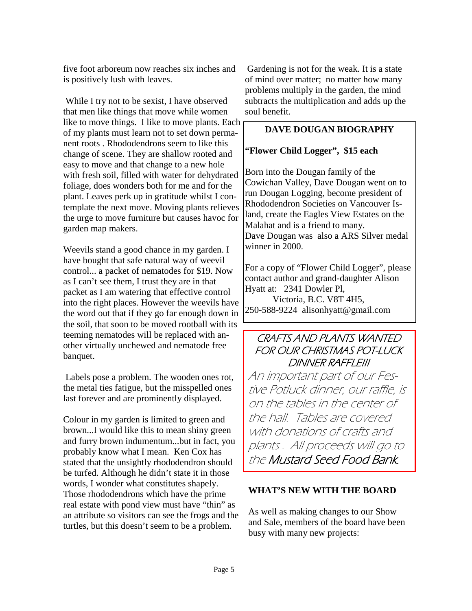five foot arboreum now reaches six inches and is positively lush with leaves.

 While I try not to be sexist, I have observed that men like things that move while women like to move things. I like to move plants. Each of my plants must learn not to set down permanent roots . Rhododendrons seem to like this change of scene. They are shallow rooted and easy to move and that change to a new hole with fresh soil, filled with water for dehydrated foliage, does wonders both for me and for the plant. Leaves perk up in gratitude whilst I contemplate the next move. Moving plants relieves the urge to move furniture but causes havoc for garden map makers.

Weevils stand a good chance in my garden. I have bought that safe natural way of weevil control... a packet of nematodes for \$19. Now as I can't see them, I trust they are in that packet as I am watering that effective control into the right places. However the weevils have the word out that if they go far enough down in the soil, that soon to be moved rootball with its teeming nematodes will be replaced with another virtually unchewed and nematode free banquet.

 Labels pose a problem. The wooden ones rot, the metal ties fatigue, but the misspelled ones last forever and are prominently displayed.

Colour in my garden is limited to green and brown...I would like this to mean shiny green and furry brown indumentum...but in fact, you probably know what I mean. Ken Cox has stated that the unsightly rhododendron should be turfed. Although he didn't state it in those words, I wonder what constitutes shapely. Those rhododendrons which have the prime real estate with pond view must have "thin" as an attribute so visitors can see the frogs and the turtles, but this doesn't seem to be a problem.

 Gardening is not for the weak. It is a state of mind over matter; no matter how many problems multiply in the garden, the mind subtracts the multiplication and adds up the soul benefit.

#### **DAVE DOUGAN BIOGRAPHY**

#### **"Flower Child Logger", \$15 each**

Born into the Dougan family of the Cowichan Valley, Dave Dougan went on to run Dougan Logging, become president of Rhododendron Societies on Vancouver Island, create the Eagles View Estates on the Malahat and is a friend to many. Dave Dougan was also a ARS Silver medal winner in 2000.

For a copy of "Flower Child Logger", please contact author and grand-daughter Alison Hyatt at: 2341 Dowler Pl,

 Victoria, B.C. V8T 4H5, 250-588-9224 alisonhyatt@gmail.com

## CRAFTS AND PLANTS WANTED FOR OUR CHRISTMAS POT-LUCK DINNER RAFFLE!!!

An important part of our Festive Potluck dinner, our raffle, is on the tables in the center of the hall. Tables are covered with donations of crafts and plants . All proceeds will go to the Mustard Seed Food Bank.

#### **WHAT'S NEW WITH THE BOARD**

As well as making changes to our Show and Sale, members of the board have been busy with many new projects: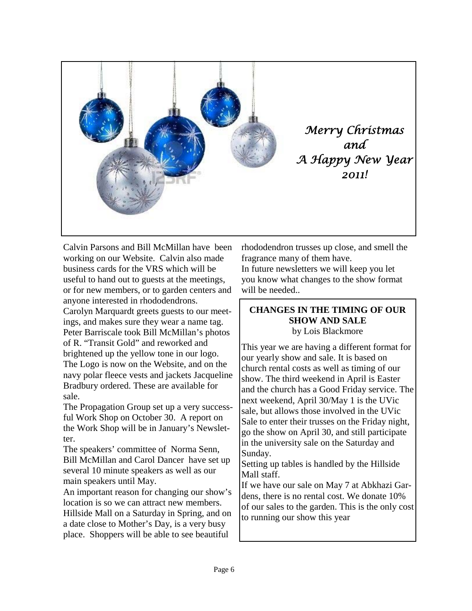

Calvin Parsons and Bill McMillan have been working on our Website. Calvin also made business cards for the VRS which will be useful to hand out to guests at the meetings, or for new members, or to garden centers and anyone interested in rhododendrons. Carolyn Marquardt greets guests to our meetings, and makes sure they wear a name tag. Peter Barriscale took Bill McMillan's photos of R. "Transit Gold" and reworked and brightened up the yellow tone in our logo. The Logo is now on the Website, and on the navy polar fleece vests and jackets Jacqueline Bradbury ordered. These are available for sale.

The Propagation Group set up a very successful Work Shop on October 30. A report on the Work Shop will be in January's Newsletter.

The speakers' committee of Norma Senn, Bill McMillan and Carol Dancer have set up several 10 minute speakers as well as our main speakers until May.

An important reason for changing our show's location is so we can attract new members. Hillside Mall on a Saturday in Spring, and on a date close to Mother's Day, is a very busy place. Shoppers will be able to see beautiful

rhododendron trusses up close, and smell the fragrance many of them have.

In future newsletters we will keep you let you know what changes to the show format will be needed...

#### **CHANGES IN THE TIMING OF OUR SHOW AND SALE**  by Lois Blackmore

This year we are having a different format for our yearly show and sale. It is based on church rental costs as well as timing of our show. The third weekend in April is Easter and the church has a Good Friday service. The next weekend, April 30/May 1 is the UVic sale, but allows those involved in the UVic Sale to enter their trusses on the Friday night, go the show on April 30, and still participate in the university sale on the Saturday and Sunday.

Setting up tables is handled by the Hillside Mall staff.

If we have our sale on May 7 at Abkhazi Gardens, there is no rental cost. We donate 10% of our sales to the garden. This is the only cost to running our show this year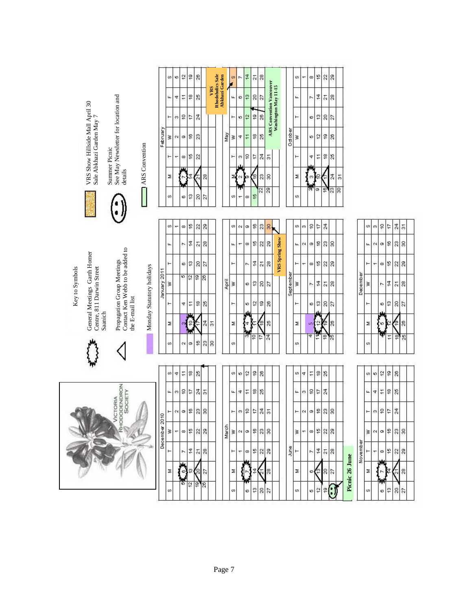|                                                                                                                                                                                       |              | Ø.  | ю                   | 12                   | ő                              | 26              |                 |               |                                    |       | ø        | F.                    | $\frac{4}{4}$   | $\overline{\mathbf{2}}$ | $28$                       |                                 |                        |           | S.       |                   | $\infty$        | $\frac{16}{2}$                 | $\frac{2}{8}$    |                |               |                |   |
|---------------------------------------------------------------------------------------------------------------------------------------------------------------------------------------|--------------|-----|---------------------|----------------------|--------------------------------|-----------------|-----------------|---------------|------------------------------------|-------|----------|-----------------------|-----------------|-------------------------|----------------------------|---------------------------------|------------------------|-----------|----------|-------------------|-----------------|--------------------------------|------------------|----------------|---------------|----------------|---|
|                                                                                                                                                                                       |              | ш   | 4                   | $\ddot{ }$           | $\frac{8}{3}$                  | 25              |                 | VRS           | Rhodoholics Sale<br>Abkhazi Garden |       | щ        | $\circ$               | ë               | $\approx$               | 27                         |                                 |                        |           | Ĺ.       |                   | r.              | $\frac{4}{3}$                  | $\overline{21}$  | $\sqrt{2}$     |               |                |   |
|                                                                                                                                                                                       |              | ۳   | ø                   | $\tilde{\Xi}$        | $\overline{17}$                | 24              |                 |               |                                    |       | $\vdash$ | ю                     | $\overline{2}$  | g                       | $\frac{8}{2}$              | <b>ARS Convention Vancouver</b> | Washington May 11-15   |           | $\vdash$ |                   | Ø               | $\mathfrak{S}$                 | $\frac{2}{27}$   |                |               |                |   |
|                                                                                                                                                                                       | February     | š   | $\mathbf{\Omega}$   | $\circ$              | $\frac{6}{5}$                  | 23              |                 |               |                                    | May   | S        | 4                     | $\overline{11}$ | <u>18</u>               | 25                         |                                 |                        | October   | š        |                   | ю               | 5                              | é                | 26             |               |                |   |
| See May Newsletter for location and<br>VRS Show Hillside Mall April 30<br>Sale Abkhazi Garden May 7<br>ARS Convention                                                                 |              | ۲   | ۳                   |                      | $\frac{6}{3}$                  | 22              |                 |               |                                    |       | ۳        | $\boldsymbol{\omega}$ | ę               | 17                      | $^{24}$                    | $\overline{\circ}$              |                        |           | ۳        |                   | 4               | $\overline{11}$                | $\frac{8}{18}$   | $\frac{8}{25}$ |               |                |   |
| Summer Picnic<br>details                                                                                                                                                              |              | Σ   |                     |                      | 4                              | ন               | 28              |               |                                    |       | Σ        | 'N                    |                 | (e                      | 23                         | $\overline{30}$                 |                        |           | Σ        |                   | 8               | ≘                              |                  | 24             | $\frac{1}{2}$ |                |   |
|                                                                                                                                                                                       |              | ø   |                     | ø                    | ć                              | 20              | 27              |               |                                    |       | ø        | ÷                     | $\infty$        | $\frac{16}{2}$          | q                          | $\overline{a}$                  |                        |           | s        |                   | ņ,              | $\overline{\sigma}$            | $\overline{e}$   | $\sqrt{3}$     |               |                |   |
|                                                                                                                                                                                       |              |     |                     |                      |                                |                 |                 |               |                                    |       |          |                       |                 |                         |                            |                                 |                        |           |          |                   |                 |                                |                  |                |               |                |   |
|                                                                                                                                                                                       |              | ω   | ٣                   | œ                    | ć                              | 22              | $\overline{29}$ |               |                                    |       | ø        | $\alpha$              | ø               | ę                       | 23                         | 8                               |                        |           | Ø.       | $\infty$          | é               | $\ddot{\phantom{0}}$           | 24               |                |               |                |   |
|                                                                                                                                                                                       |              | щ   |                     | r.                   | $\frac{1}{4}$                  | $\overline{21}$ | $_{28}$         |               |                                    |       | щ        | ٣                     | $\infty$        | é                       | $\frac{2}{3}$              |                                 | <b>VRS</b> Spring Show |           | щ        | $\mathbf{\Omega}$ | $\circ$         | $\overset{\circ}{\tau}$        | $\frac{8}{3}$    |                |               |                |   |
|                                                                                                                                                                                       |              | ۳   |                     | ö                    | ć,                             | $\overline{20}$ | 27              |               |                                    |       | ۰        |                       | ĸ.              | $\frac{4}{7}$           | $\overline{2}$ 1           | $_{28}$                         |                        |           | ⊢        | ÷                 | œ               | $\frac{16}{1}$                 | ន $ 8$           |                |               |                |   |
| Key to Symbols                                                                                                                                                                        | January 2011 | š   |                     | ю                    | $\overline{12}$                | ę,              | 26              |               |                                    | April | S        |                       | ö               | 5,                      | 20                         | 12                              |                        | September | š        |                   | r.              | $\frac{1}{4}$                  | $\overline{21}$  | 28             |               |                | ì |
|                                                                                                                                                                                       |              | ۳   |                     | 4                    | $\ddot{ }$                     | 10              | 25              |               |                                    |       | Н        |                       | ю               | $\tilde{\sigma}$        | ă                          | 26                              |                        |           | ۳        |                   | O               | $\frac{8}{3}$                  | $\frac{2}{27}$   |                |               |                |   |
| Contact Ken Webb to be added to<br>General Meetings Garth Homer<br>Propagation Group Meetings<br>Monday Statutory holidays<br>Centre, 811 Darwin Street<br>the E-mail list<br>Saanich |              | Σ   |                     |                      | ă                              |                 | 24              | $\frac{1}{2}$ |                                    |       | Σ        |                       | 4               |                         | ဇို                        | 25                              |                        |           | Σ        |                   | $\sigma$        |                                |                  | $\frac{8}{2}$  |               |                |   |
|                                                                                                                                                                                       |              | Ø)  |                     | $\sim$               | $\circ$                        | e               | $_{23}$         | 8             |                                    |       | ø        |                       |                 | ē                       | ¢                          | 24                              |                        |           | s,       |                   | 4               |                                | $\frac{8}{2}$    | 25             |               |                |   |
|                                                                                                                                                                                       |              |     |                     |                      |                                |                 |                 |               |                                    |       |          |                       |                 |                         |                            |                                 |                        |           |          |                   |                 |                                |                  |                |               |                |   |
|                                                                                                                                                                                       |              | ø   | 4                   | $\ddagger$           | $\overset{\circ}{\phantom{a}}$ | 25              |                 |               |                                    |       | œ        | 40                    | $\frac{2}{3}$   | ę                       | 26                         |                                 |                        |           | S)       | 4                 | $\overline{11}$ | $\overset{\circ}{\phantom{a}}$ | 25               |                |               |                |   |
| SOCIETY                                                                                                                                                                               |              | LL. | ø                   | $\acute{\mathrm{e}}$ | Ţ                              | 24              | $\overline{5}$  |               |                                    |       | LL.      | 4                     | 11              | \$                      | 25                         |                                 |                        |           | u.       | ø                 | é               | 17                             | 24               |                |               |                |   |
| RHODODENDRON<br>VICTORIA<br>December 2010                                                                                                                                             |              |     |                     |                      | ë                              | $\mathbb{Z}$    | 8               |               |                                    |       |          |                       | å               | Ψ                       | $\frac{24}{3}$             | $\frac{1}{2}$                   |                        |           |          |                   |                 | ę                              | $\frac{8}{3}$    |                |               |                |   |
|                                                                                                                                                                                       |              |     | T<br>$\overline{ }$ |                      | $\frac{16}{2}$                 | ន $ 8 $         |                 |               |                                    | March | $\geq$   | $\sim$ $\sigma$       |                 | é                       | $\boldsymbol{\mathcal{Z}}$ | 18                              |                        |           | š        |                   | $\infty$        | $\frac{1}{2}$                  | ន $ \mathbb{R} $ |                |               |                |   |
|                                                                                                                                                                                       |              |     |                     |                      | 4                              | $\overline{21}$ | $28\,$          |               |                                    |       | ۲        |                       | $\infty$        | 10                      | 22                         | ஜ                               |                        | June      |          |                   | r.              | 4                              | $\frac{21}{28}$  |                |               |                |   |
|                                                                                                                                                                                       |              | z   |                     | $\circ$              | g,                             | ρ               | 27              |               |                                    |       | Σ        |                       |                 | ź,                      |                            | $\frac{8}{2}$                   |                        |           | Σ        |                   | $^\circ$        | P                              | $\frac{8}{2}$    |                |               | Picnic 26 June |   |
|                                                                                                                                                                                       |              | ø   |                     | 쀻                    | $\overline{c}$                 | le)             | 26              |               |                                    |       | ø        |                       | 6               | ë                       | 20                         | $\frac{27}{2}$                  |                        |           | Ø.       |                   | ю               | $\overline{\mathcal{L}}$       | $\frac{1}{2}$    |                |               |                |   |
|                                                                                                                                                                                       |              |     |                     |                      |                                |                 |                 |               |                                    |       |          |                       |                 |                         |                            |                                 |                        |           |          |                   |                 |                                |                  |                |               |                |   |

 $\sim$   $\approx$   $\approx$   $\approx$   $\approx$ ~│∞│≌│|Ջ│||ඹ│ 보기 2  $\overline{a}$ š  $\frac{1}{2}$   $\frac{1}{2}$  $\approx$ Σ ē  $\overline{25}$ 의 ó.

 $\omega$   $\omega$   $\approx$   $\approx$   $\approx$ 

 $\frac{1}{4}$  =  $\frac{1}{8}$ 

 $\frac{1}{2}$   $\frac{1}{2}$   $\frac{1}{2}$   $\frac{1}{2}$ 

 $\sim$   $\approx$   $\approx$   $\approx$   $\approx$ 

 $|\mathfrak{p}|$ ଷ $|\mathfrak{g}|$  $^\infty$ 

 $\boldsymbol{\mathcal{Z}}$ 

L

Ø

Σ

 $\omega$ 

ö  $\frac{1}{2}$ 1º  $\overline{\mathfrak{L}}$ 

 $\frac{1}{\sqrt{2}}$   $\frac{1}{\sqrt{2}}$   $\frac{1}{\sqrt{2}}$   $\frac{1}{\sqrt{2}}$ 

Ø.

Page 7